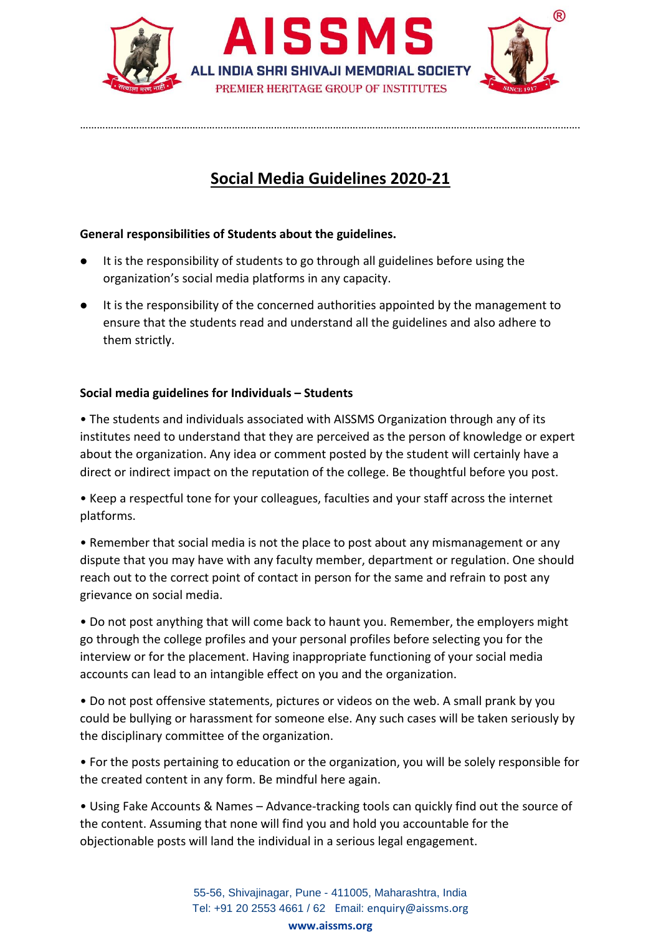

## **Social Media Guidelines 2020-21**

…………………………………………………………………………………………………………………………………………………………….

## **General responsibilities of Students about the guidelines.**

- It is the responsibility of students to go through all guidelines before using the organization's social media platforms in any capacity.
- It is the responsibility of the concerned authorities appointed by the management to ensure that the students read and understand all the guidelines and also adhere to them strictly.

## **Social media guidelines for Individuals – Students**

• The students and individuals associated with AISSMS Organization through any of its institutes need to understand that they are perceived as the person of knowledge or expert about the organization. Any idea or comment posted by the student will certainly have a direct or indirect impact on the reputation of the college. Be thoughtful before you post.

• Keep a respectful tone for your colleagues, faculties and your staff across the internet platforms.

• Remember that social media is not the place to post about any mismanagement or any dispute that you may have with any faculty member, department or regulation. One should reach out to the correct point of contact in person for the same and refrain to post any grievance on social media.

• Do not post anything that will come back to haunt you. Remember, the employers might go through the college profiles and your personal profiles before selecting you for the interview or for the placement. Having inappropriate functioning of your social media accounts can lead to an intangible effect on you and the organization.

• Do not post offensive statements, pictures or videos on the web. A small prank by you could be bullying or harassment for someone else. Any such cases will be taken seriously by the disciplinary committee of the organization.

• For the posts pertaining to education or the organization, you will be solely responsible for the created content in any form. Be mindful here again.

• Using Fake Accounts & Names – Advance-tracking tools can quickly find out the source of the content. Assuming that none will find you and hold you accountable for the objectionable posts will land the individual in a serious legal engagement.

> 55-56, Shivajinagar, Pune - 411005, Maharashtra, India Tel: +91 20 2553 4661 / 62 Email: enquiry@aissms.org **www.aissms.org**